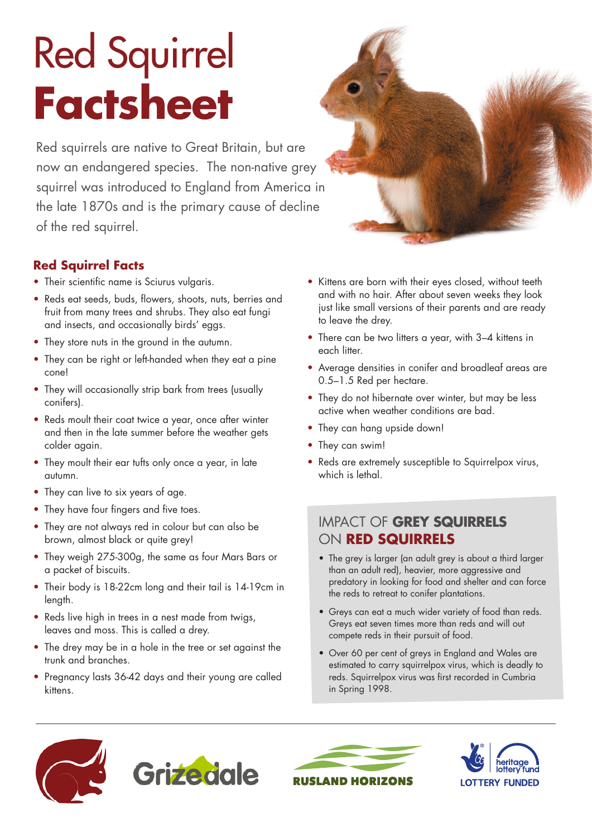# Red Squirrel **Factsheet**

Red squirrels are native to Great Britain, but are now an endangered species. The non-native grey squirrel was introduced to England from America in the late 1870s and is the primary cause of decline of the red squirrel.

## **Red Squirrel Facts**

- Their scientific name is Sciurus vulgaris.
- Reds eat seeds, buds, flowers, shoots, nuts, berries and fruit from many trees and shrubs. They also eat fungi and insects, and occasionally birds' eggs.
- They store nuts in the ground in the autumn.
- They can be right or left-handed when they eat a pine cone!
- They will occasionally strip bark from trees (usually conifers).
- Reds moult their coat twice a year, once after winter and then in the late summer before the weather gets colder again.
- They moult their ear tufts only once a year, in late autumn.
- They can live to six years of age.
- They have four fingers and five toes.
- They are not always red in colour but can also be brown, almost black or quite grey!
- They weigh 275-300g, the same as four Mars Bars or a packet of biscuits.
- Their body is 18-22cm long and their tail is 14-19cm in length.
- Reds live high in trees in a nest made from twigs, leaves and moss. This is called a drey.
- The drey may be in a hole in the tree or set against the trunk and branches.
- Pregnancy lasts 36-42 days and their young are called kittens.
- Kittens are born with their eyes closed, without teeth and with no hair. After about seven weeks they look just like small versions of their parents and are ready to leave the drey.
- There can be two litters a year, with 3–4 kittens in each litter.
- Average densities in conifer and broadleaf areas are 0.5–1.5 Red per hectare.
- They do not hibernate over winter, but may be less active when weather conditions are bad.
- They can hang upside down!
- They can swim!
- Reds are extremely susceptible to Squirrelpox virus, which is lethal.

## IMPACT OF **GREY SQUIRRELS** ON **RED SQUIRRELS**

- The grey is larger (an adult grey is about a third larger than an adult red), heavier, more aggressive and predatory in looking for food and shelter and can force the reds to retreat to conifer plantations.
- • Greys can eat a much wider variety of food than reds. Greys eat seven times more than reds and will out compete reds in their pursuit of food.
- • Over 60 per cent of greys in England and Wales are estimated to carry squirrelpox virus, which is deadly to reds. Squirrelpox virus was first recorded in Cumbria in Spring 1998.